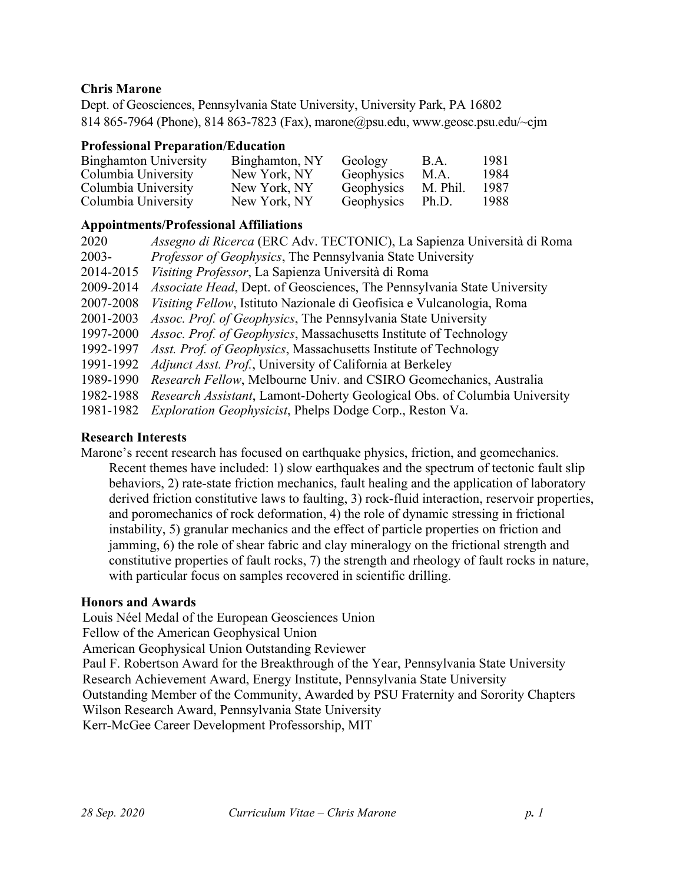# **Chris Marone**

Dept. of Geosciences, Pennsylvania State University, University Park, PA 16802 814 865-7964 (Phone), 814 863-7823 (Fax), marone@psu.edu, www.geosc.psu.edu/~cjm

### **Professional Preparation/Education**

| <b>Binghamton University</b> | Binghamton, NY | Geology    | B.A.     | 1981 |
|------------------------------|----------------|------------|----------|------|
| Columbia University          | New York, NY   | Geophysics | M.A.     | 1984 |
| Columbia University          | New York, NY   | Geophysics | M. Phil. | 1987 |
| Columbia University          | New York, NY   | Geophysics | Ph.D.    | 1988 |

## **Appointments/Professional Affiliations**

| 2020      | Assegno di Ricerca (ERC Adv. TECTONIC), La Sapienza Università di Roma    |
|-----------|---------------------------------------------------------------------------|
| $2003 -$  | Professor of Geophysics, The Pennsylvania State University                |
| 2014-2015 | Visiting Professor, La Sapienza Università di Roma                        |
| 2009-2014 | Associate Head, Dept. of Geosciences, The Pennsylvania State University   |
| 2007-2008 | Visiting Fellow, Istituto Nazionale di Geofisica e Vulcanologia, Roma     |
| 2001-2003 | <i>Assoc. Prof. of Geophysics</i> , The Pennsylvania State University     |
| 1997-2000 | Assoc. Prof. of Geophysics, Massachusetts Institute of Technology         |
| 1992-1997 | Asst. Prof. of Geophysics, Massachusetts Institute of Technology          |
| 1991-1992 | <i>Adjunct Asst. Prof.</i> , University of California at Berkeley         |
| 1989-1990 | Research Fellow, Melbourne Univ. and CSIRO Geomechanics, Australia        |
| 1982-1988 | Research Assistant, Lamont-Doherty Geological Obs. of Columbia University |
| 1981-1982 | <i>Exploration Geophysicist</i> , Phelps Dodge Corp., Reston Va.          |
|           |                                                                           |

## **Research Interests**

Marone's recent research has focused on earthquake physics, friction, and geomechanics. Recent themes have included: 1) slow earthquakes and the spectrum of tectonic fault slip behaviors, 2) rate-state friction mechanics, fault healing and the application of laboratory derived friction constitutive laws to faulting, 3) rock-fluid interaction, reservoir properties, and poromechanics of rock deformation, 4) the role of dynamic stressing in frictional instability, 5) granular mechanics and the effect of particle properties on friction and jamming, 6) the role of shear fabric and clay mineralogy on the frictional strength and constitutive properties of fault rocks, 7) the strength and rheology of fault rocks in nature, with particular focus on samples recovered in scientific drilling.

#### **Honors and Awards**

Louis Néel Medal of the European Geosciences Union Fellow of the American Geophysical Union American Geophysical Union Outstanding Reviewer Paul F. Robertson Award for the Breakthrough of the Year, Pennsylvania State University Research Achievement Award, Energy Institute, Pennsylvania State University Outstanding Member of the Community, Awarded by PSU Fraternity and Sorority Chapters Wilson Research Award, Pennsylvania State University Kerr-McGee Career Development Professorship, MIT